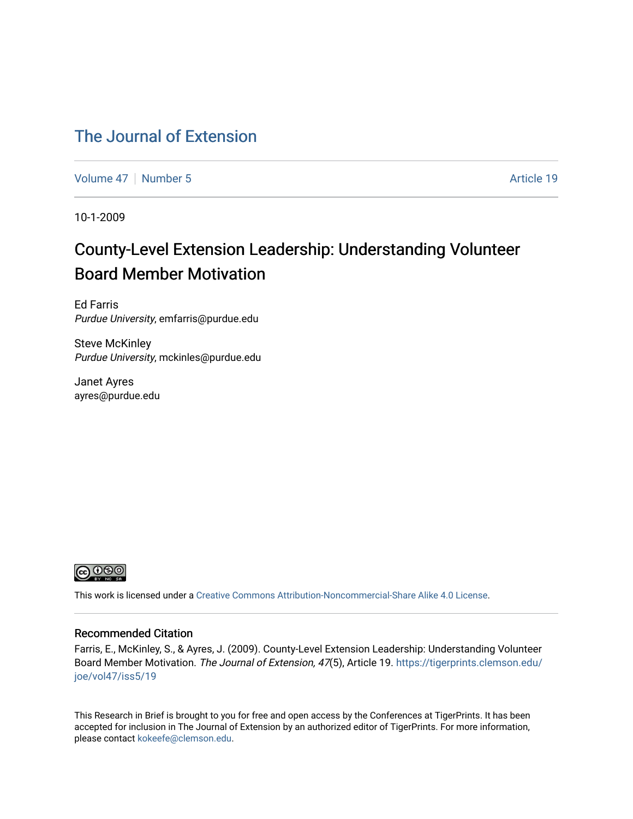#### [The Journal of Extension](https://tigerprints.clemson.edu/joe)

[Volume 47](https://tigerprints.clemson.edu/joe/vol47) | [Number 5](https://tigerprints.clemson.edu/joe/vol47/iss5) Article 19

10-1-2009

## County-Level Extension Leadership: Understanding Volunteer Board Member Motivation

Ed Farris Purdue University, emfarris@purdue.edu

Steve McKinley Purdue University, mckinles@purdue.edu

Janet Ayres ayres@purdue.edu



This work is licensed under a [Creative Commons Attribution-Noncommercial-Share Alike 4.0 License.](https://creativecommons.org/licenses/by-nc-sa/4.0/)

#### Recommended Citation

Farris, E., McKinley, S., & Ayres, J. (2009). County-Level Extension Leadership: Understanding Volunteer Board Member Motivation. The Journal of Extension, 47(5), Article 19. [https://tigerprints.clemson.edu/](https://tigerprints.clemson.edu/joe/vol47/iss5/19) [joe/vol47/iss5/19](https://tigerprints.clemson.edu/joe/vol47/iss5/19)

This Research in Brief is brought to you for free and open access by the Conferences at TigerPrints. It has been accepted for inclusion in The Journal of Extension by an authorized editor of TigerPrints. For more information, please contact [kokeefe@clemson.edu](mailto:kokeefe@clemson.edu).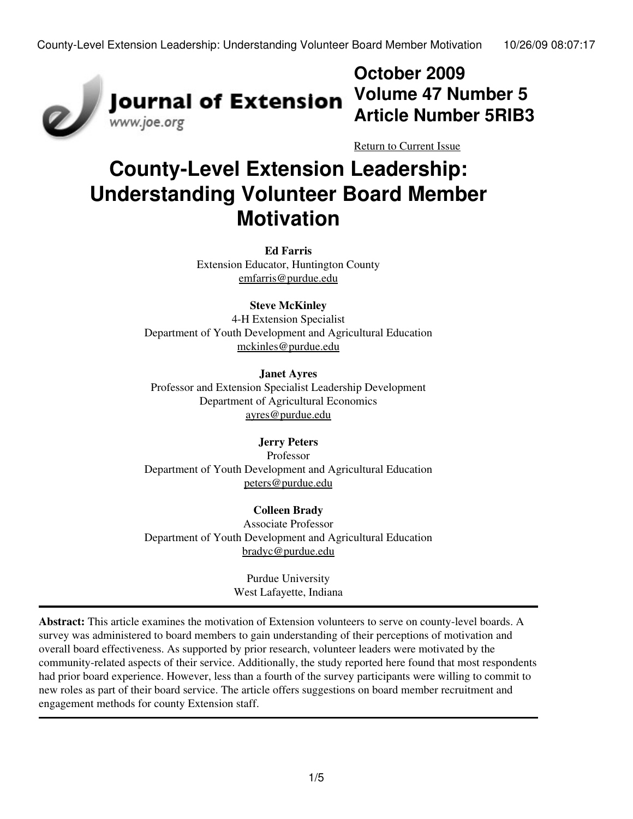

**October 2009 Volume 47 Number 5 Article Number 5RIB3**

[Return to Current Issue](http://www.joe.org:80/joe/2009october/)

# **County-Level Extension Leadership: Understanding Volunteer Board Member Motivation**

**Ed Farris** Extension Educator, Huntington County [emfarris@purdue.edu](mailto:emfarris@purdue.edu)

#### **Steve McKinley**

4-H Extension Specialist Department of Youth Development and Agricultural Education [mckinles@purdue.edu](mailto:mckinles@purdue.edu)

#### **Janet Ayres**

Professor and Extension Specialist Leadership Development Department of Agricultural Economics [ayres@purdue.edu](mailto:ayres@purdue.edu)

#### **Jerry Peters**

Professor Department of Youth Development and Agricultural Education [peters@purdue.edu](mailto:peters@purdue.edu)

#### **Colleen Brady**

Associate Professor Department of Youth Development and Agricultural Education [bradyc@purdue.edu](http://www.joe.org:80/joe/2009october/mailo:bradyc@purdue.edu)

> Purdue University West Lafayette, Indiana

**Abstract:** This article examines the motivation of Extension volunteers to serve on county-level boards. A survey was administered to board members to gain understanding of their perceptions of motivation and overall board effectiveness. As supported by prior research, volunteer leaders were motivated by the community-related aspects of their service. Additionally, the study reported here found that most respondents had prior board experience. However, less than a fourth of the survey participants were willing to commit to new roles as part of their board service. The article offers suggestions on board member recruitment and engagement methods for county Extension staff.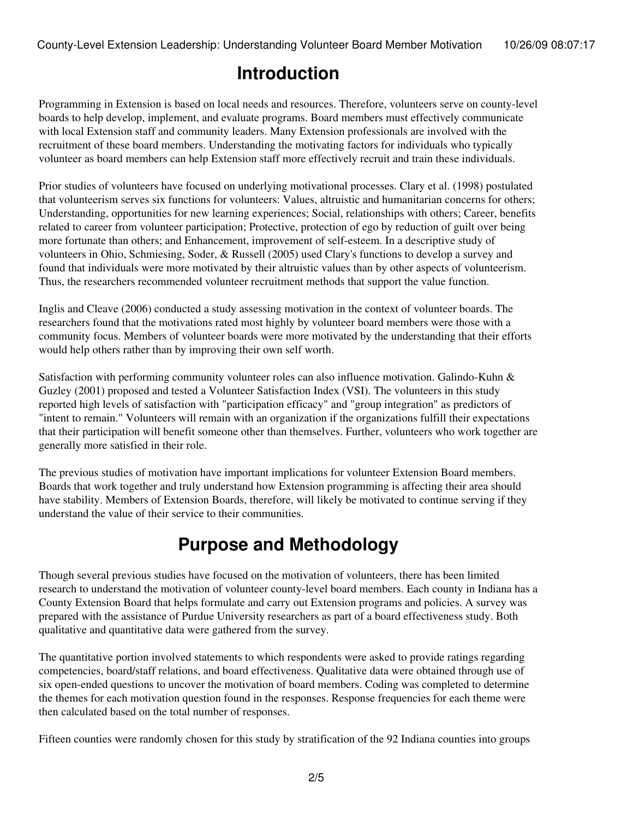### **Introduction**

Programming in Extension is based on local needs and resources. Therefore, volunteers serve on county-level boards to help develop, implement, and evaluate programs. Board members must effectively communicate with local Extension staff and community leaders. Many Extension professionals are involved with the recruitment of these board members. Understanding the motivating factors for individuals who typically volunteer as board members can help Extension staff more effectively recruit and train these individuals.

Prior studies of volunteers have focused on underlying motivational processes. Clary et al. (1998) postulated that volunteerism serves six functions for volunteers: Values, altruistic and humanitarian concerns for others; Understanding, opportunities for new learning experiences; Social, relationships with others; Career, benefits related to career from volunteer participation; Protective, protection of ego by reduction of guilt over being more fortunate than others; and Enhancement, improvement of self-esteem. In a descriptive study of volunteers in Ohio, Schmiesing, Soder, & Russell (2005) used Clary's functions to develop a survey and found that individuals were more motivated by their altruistic values than by other aspects of volunteerism. Thus, the researchers recommended volunteer recruitment methods that support the value function.

Inglis and Cleave (2006) conducted a study assessing motivation in the context of volunteer boards. The researchers found that the motivations rated most highly by volunteer board members were those with a community focus. Members of volunteer boards were more motivated by the understanding that their efforts would help others rather than by improving their own self worth.

Satisfaction with performing community volunteer roles can also influence motivation. Galindo-Kuhn & Guzley (2001) proposed and tested a Volunteer Satisfaction Index (VSI). The volunteers in this study reported high levels of satisfaction with "participation efficacy" and "group integration" as predictors of "intent to remain." Volunteers will remain with an organization if the organizations fulfill their expectations that their participation will benefit someone other than themselves. Further, volunteers who work together are generally more satisfied in their role.

The previous studies of motivation have important implications for volunteer Extension Board members. Boards that work together and truly understand how Extension programming is affecting their area should have stability. Members of Extension Boards, therefore, will likely be motivated to continue serving if they understand the value of their service to their communities.

### **Purpose and Methodology**

Though several previous studies have focused on the motivation of volunteers, there has been limited research to understand the motivation of volunteer county-level board members. Each county in Indiana has a County Extension Board that helps formulate and carry out Extension programs and policies. A survey was prepared with the assistance of Purdue University researchers as part of a board effectiveness study. Both qualitative and quantitative data were gathered from the survey.

The quantitative portion involved statements to which respondents were asked to provide ratings regarding competencies, board/staff relations, and board effectiveness. Qualitative data were obtained through use of six open-ended questions to uncover the motivation of board members. Coding was completed to determine the themes for each motivation question found in the responses. Response frequencies for each theme were then calculated based on the total number of responses.

Fifteen counties were randomly chosen for this study by stratification of the 92 Indiana counties into groups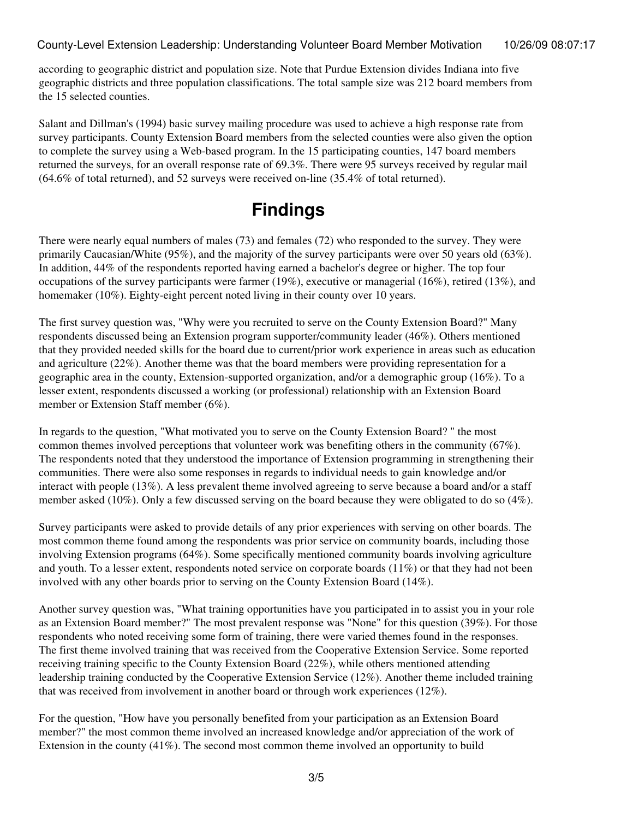County-Level Extension Leadership: Understanding Volunteer Board Member Motivation 10/26/09 08:07:17

according to geographic district and population size. Note that Purdue Extension divides Indiana into five geographic districts and three population classifications. The total sample size was 212 board members from the 15 selected counties.

Salant and Dillman's (1994) basic survey mailing procedure was used to achieve a high response rate from survey participants. County Extension Board members from the selected counties were also given the option to complete the survey using a Web-based program. In the 15 participating counties, 147 board members returned the surveys, for an overall response rate of 69.3%. There were 95 surveys received by regular mail (64.6% of total returned), and 52 surveys were received on-line (35.4% of total returned).

### **Findings**

There were nearly equal numbers of males (73) and females (72) who responded to the survey. They were primarily Caucasian/White (95%), and the majority of the survey participants were over 50 years old (63%). In addition, 44% of the respondents reported having earned a bachelor's degree or higher. The top four occupations of the survey participants were farmer (19%), executive or managerial (16%), retired (13%), and homemaker (10%). Eighty-eight percent noted living in their county over 10 years.

The first survey question was, "Why were you recruited to serve on the County Extension Board?" Many respondents discussed being an Extension program supporter/community leader (46%). Others mentioned that they provided needed skills for the board due to current/prior work experience in areas such as education and agriculture (22%). Another theme was that the board members were providing representation for a geographic area in the county, Extension-supported organization, and/or a demographic group (16%). To a lesser extent, respondents discussed a working (or professional) relationship with an Extension Board member or Extension Staff member (6%).

In regards to the question, "What motivated you to serve on the County Extension Board? " the most common themes involved perceptions that volunteer work was benefiting others in the community (67%). The respondents noted that they understood the importance of Extension programming in strengthening their communities. There were also some responses in regards to individual needs to gain knowledge and/or interact with people (13%). A less prevalent theme involved agreeing to serve because a board and/or a staff member asked (10%). Only a few discussed serving on the board because they were obligated to do so (4%).

Survey participants were asked to provide details of any prior experiences with serving on other boards. The most common theme found among the respondents was prior service on community boards, including those involving Extension programs (64%). Some specifically mentioned community boards involving agriculture and youth. To a lesser extent, respondents noted service on corporate boards (11%) or that they had not been involved with any other boards prior to serving on the County Extension Board (14%).

Another survey question was, "What training opportunities have you participated in to assist you in your role as an Extension Board member?" The most prevalent response was "None" for this question (39%). For those respondents who noted receiving some form of training, there were varied themes found in the responses. The first theme involved training that was received from the Cooperative Extension Service. Some reported receiving training specific to the County Extension Board (22%), while others mentioned attending leadership training conducted by the Cooperative Extension Service (12%). Another theme included training that was received from involvement in another board or through work experiences (12%).

For the question, "How have you personally benefited from your participation as an Extension Board member?" the most common theme involved an increased knowledge and/or appreciation of the work of Extension in the county (41%). The second most common theme involved an opportunity to build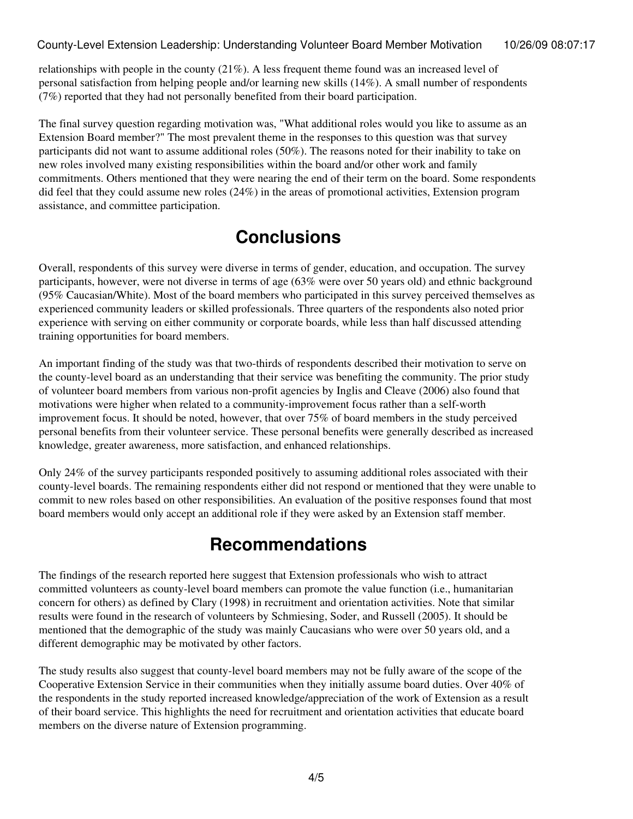#### County-Level Extension Leadership: Understanding Volunteer Board Member Motivation 10/26/09 08:07:17

relationships with people in the county (21%). A less frequent theme found was an increased level of personal satisfaction from helping people and/or learning new skills (14%). A small number of respondents (7%) reported that they had not personally benefited from their board participation.

The final survey question regarding motivation was, "What additional roles would you like to assume as an Extension Board member?" The most prevalent theme in the responses to this question was that survey participants did not want to assume additional roles (50%). The reasons noted for their inability to take on new roles involved many existing responsibilities within the board and/or other work and family commitments. Others mentioned that they were nearing the end of their term on the board. Some respondents did feel that they could assume new roles (24%) in the areas of promotional activities, Extension program assistance, and committee participation.

## **Conclusions**

Overall, respondents of this survey were diverse in terms of gender, education, and occupation. The survey participants, however, were not diverse in terms of age (63% were over 50 years old) and ethnic background (95% Caucasian/White). Most of the board members who participated in this survey perceived themselves as experienced community leaders or skilled professionals. Three quarters of the respondents also noted prior experience with serving on either community or corporate boards, while less than half discussed attending training opportunities for board members.

An important finding of the study was that two-thirds of respondents described their motivation to serve on the county-level board as an understanding that their service was benefiting the community. The prior study of volunteer board members from various non-profit agencies by Inglis and Cleave (2006) also found that motivations were higher when related to a community-improvement focus rather than a self-worth improvement focus. It should be noted, however, that over 75% of board members in the study perceived personal benefits from their volunteer service. These personal benefits were generally described as increased knowledge, greater awareness, more satisfaction, and enhanced relationships.

Only 24% of the survey participants responded positively to assuming additional roles associated with their county-level boards. The remaining respondents either did not respond or mentioned that they were unable to commit to new roles based on other responsibilities. An evaluation of the positive responses found that most board members would only accept an additional role if they were asked by an Extension staff member.

## **Recommendations**

The findings of the research reported here suggest that Extension professionals who wish to attract committed volunteers as county-level board members can promote the value function (i.e., humanitarian concern for others) as defined by Clary (1998) in recruitment and orientation activities. Note that similar results were found in the research of volunteers by Schmiesing, Soder, and Russell (2005). It should be mentioned that the demographic of the study was mainly Caucasians who were over 50 years old, and a different demographic may be motivated by other factors.

The study results also suggest that county-level board members may not be fully aware of the scope of the Cooperative Extension Service in their communities when they initially assume board duties. Over 40% of the respondents in the study reported increased knowledge/appreciation of the work of Extension as a result of their board service. This highlights the need for recruitment and orientation activities that educate board members on the diverse nature of Extension programming.